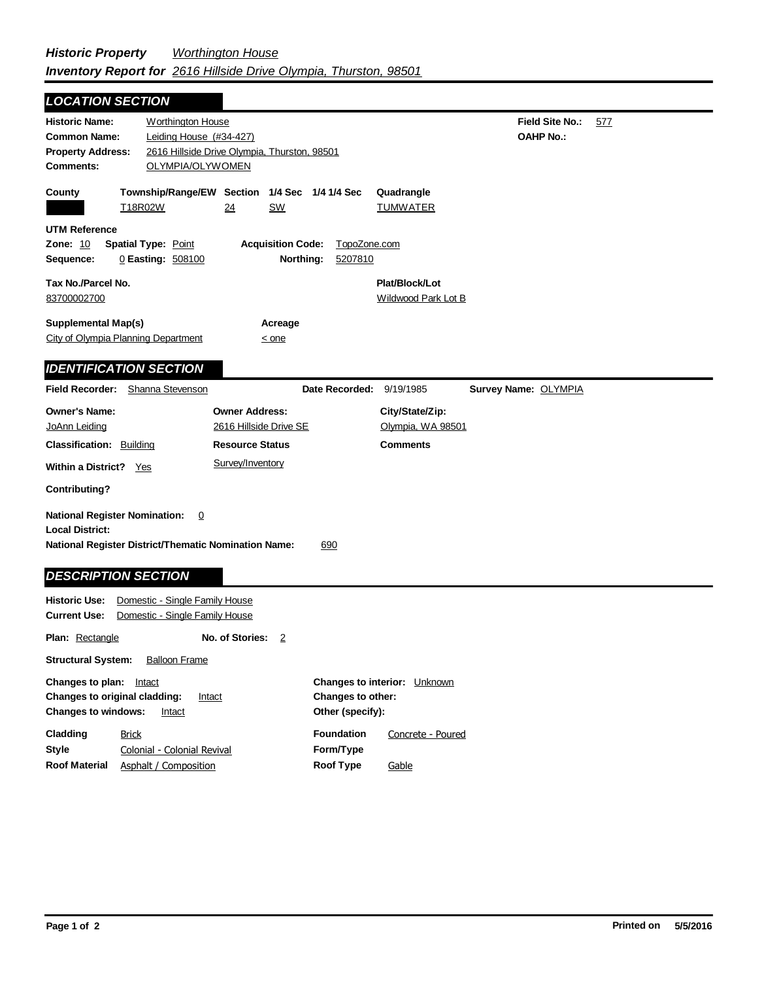## **Field Site No.:** 577 **OAHP No.: Historic Name:** Worthington House **Common Name:** Leiding House (#34-427) **County Plat/Block/Lot** Wildwood Park Lot B **Acreage**  $\leq$  one **Supplemental Map(s)** City of Olympia Planning Department **Tax No./Parcel No.** 83700002700 **Property Address:** 2616 Hillside Drive Olympia, Thurston, 98501 *LOCATION SECTION* **Comments:** OLYMPIA/OLYWOMEN **Quadrangle UTM Reference Township/Range/EW Section 1/4 Sec 1/4 1/4 Sec Owner Address:** 2616 Hillside Drive SE **Field Recorder:** Shanna Stevenson **Owner's Name:** JoAnn Leiding **City/State/Zip:** Olympia, WA 98501 **National Register District/Thematic Nomination Name:** 690 **Local District: Date Recorded:** 9/19/1985 **Classification:** Building Within a District? Yes **Contributing? Comments National Register Nomination:** 0 **Plan:** Rectangle **Historic Use:** Domestic - Single Family House **Current Use:** Domestic - Single Family House **Structural System:** Balloon Frame **No. of Stories:** 2 **Resource Status Survey Name:** OLYMPIA *IDENTIFICATION SECTION DESCRIPTION SECTION* T18R02W 24 SW TUMWATER **Zone:** 10 **Spatial Type:** Point **Acquisition Code:** TopoZone.com **Sequence:** 0 **Easting:** 508100 **Northing:** 5207810 Survey/Inventory

| Changes to plan:                               | Intact                      |                   | <b>Changes to interior:</b> Unknown |  |
|------------------------------------------------|-----------------------------|-------------------|-------------------------------------|--|
| <b>Changes to original cladding:</b><br>Intact |                             | Changes to other: |                                     |  |
| <b>Changes to windows:</b><br>Intact           |                             | Other (specify):  |                                     |  |
| Cladding                                       | <b>Brick</b>                | <b>Foundation</b> | Concrete - Poured                   |  |
| Style                                          | Colonial - Colonial Revival | Form/Type         |                                     |  |
| <b>Roof Material</b>                           | Asphalt / Composition       | Roof Type         | Gable                               |  |
|                                                |                             |                   |                                     |  |